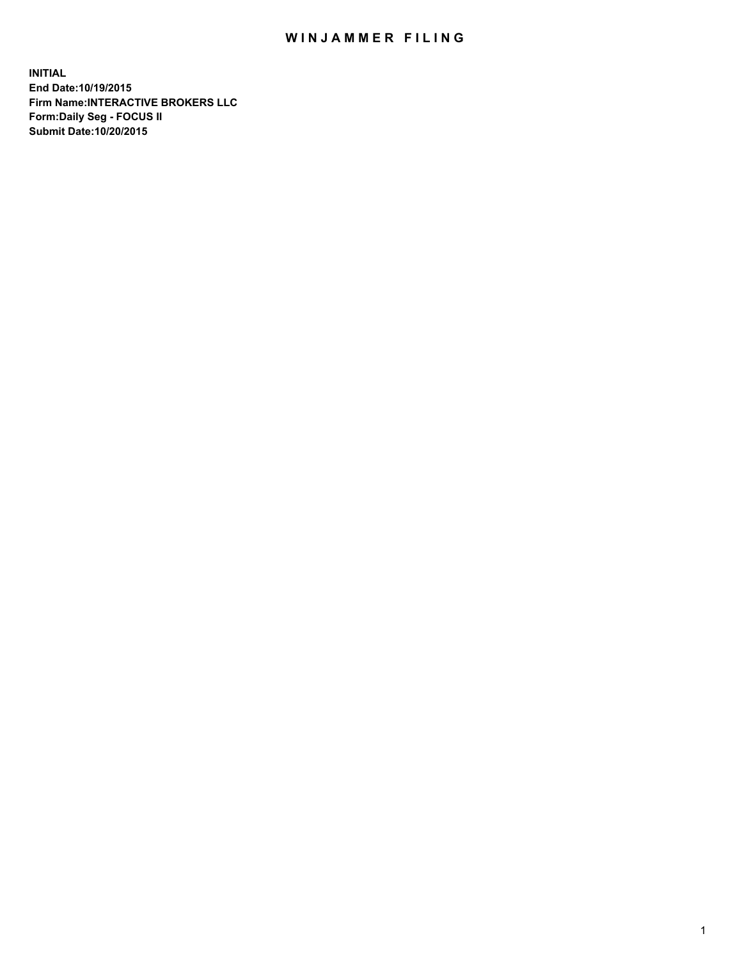## WIN JAMMER FILING

**INITIAL End Date:10/19/2015 Firm Name:INTERACTIVE BROKERS LLC Form:Daily Seg - FOCUS II Submit Date:10/20/2015**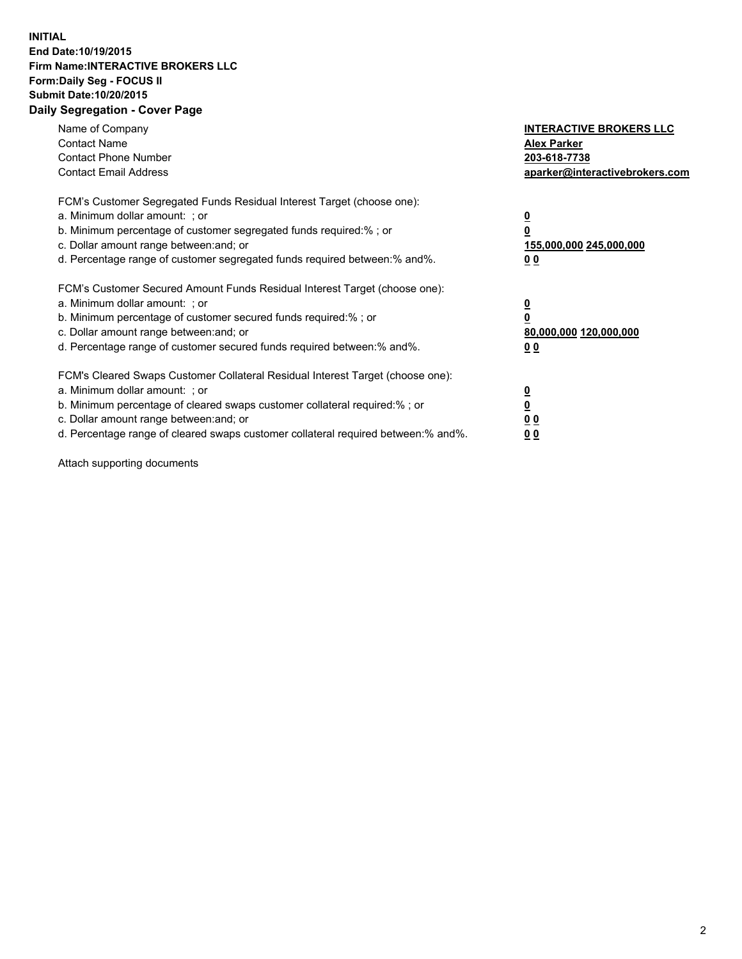## **INITIAL End Date:10/19/2015 Firm Name:INTERACTIVE BROKERS LLC Form:Daily Seg - FOCUS II Submit Date:10/20/2015 Daily Segregation - Cover Page**

| Name of Company<br><b>Contact Name</b><br><b>Contact Phone Number</b><br><b>Contact Email Address</b>                                                                                                                                                                                                                         | <b>INTERACTIVE BROKERS LLC</b><br><b>Alex Parker</b><br>203-618-7738<br>aparker@interactivebrokers.com |
|-------------------------------------------------------------------------------------------------------------------------------------------------------------------------------------------------------------------------------------------------------------------------------------------------------------------------------|--------------------------------------------------------------------------------------------------------|
| FCM's Customer Segregated Funds Residual Interest Target (choose one):<br>a. Minimum dollar amount: ; or<br>b. Minimum percentage of customer segregated funds required:% ; or<br>c. Dollar amount range between: and; or<br>d. Percentage range of customer segregated funds required between:% and%.                        | <u>0</u><br><u>155,000,000 245,000,000</u><br>00                                                       |
| FCM's Customer Secured Amount Funds Residual Interest Target (choose one):<br>a. Minimum dollar amount: ; or<br>b. Minimum percentage of customer secured funds required:% ; or<br>c. Dollar amount range between: and; or<br>d. Percentage range of customer secured funds required between: % and %.                        | $\overline{\mathbf{0}}$<br>80,000,000 120,000,000<br>00                                                |
| FCM's Cleared Swaps Customer Collateral Residual Interest Target (choose one):<br>a. Minimum dollar amount: ; or<br>b. Minimum percentage of cleared swaps customer collateral required:%; or<br>c. Dollar amount range between: and; or<br>d. Percentage range of cleared swaps customer collateral required between:% and%. | <u>0</u><br>0 <sub>0</sub><br><u>00</u>                                                                |

Attach supporting documents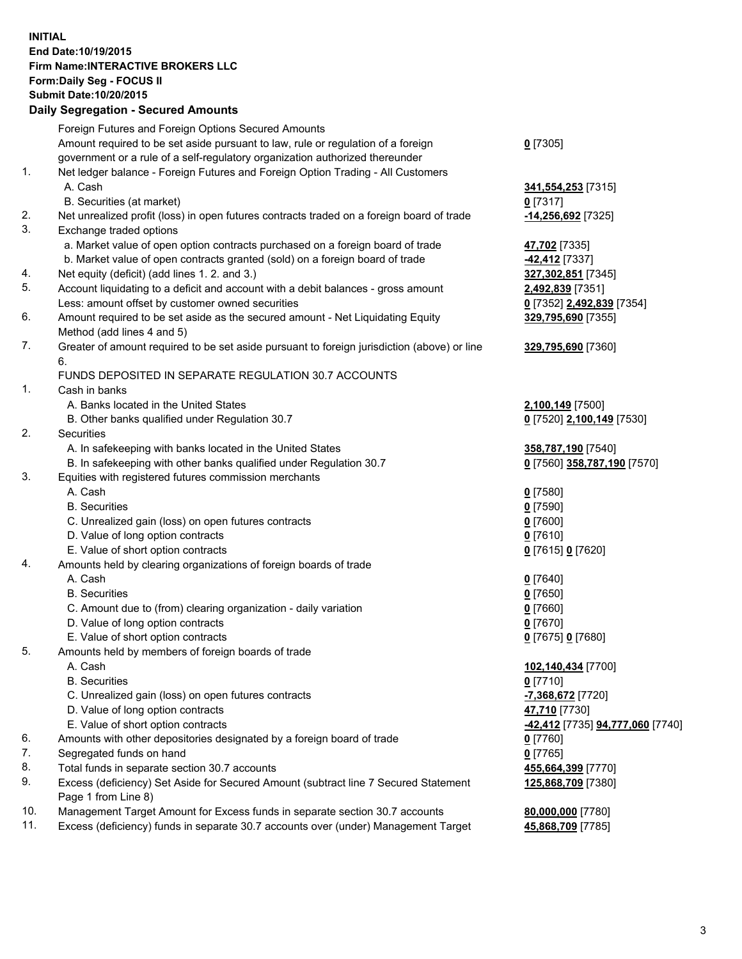## **INITIAL End Date:10/19/2015 Firm Name:INTERACTIVE BROKERS LLC Form:Daily Seg - FOCUS II Submit Date:10/20/2015 Daily Segregation - Secured Amounts**

|     | Daily Ocglegation - Occuled Amounts                                                         |                                  |
|-----|---------------------------------------------------------------------------------------------|----------------------------------|
|     | Foreign Futures and Foreign Options Secured Amounts                                         |                                  |
|     | Amount required to be set aside pursuant to law, rule or regulation of a foreign            | $0$ [7305]                       |
|     | government or a rule of a self-regulatory organization authorized thereunder                |                                  |
| 1.  | Net ledger balance - Foreign Futures and Foreign Option Trading - All Customers             |                                  |
|     | A. Cash                                                                                     | 341,554,253 [7315]               |
|     | B. Securities (at market)                                                                   | $0$ [7317]                       |
| 2.  | Net unrealized profit (loss) in open futures contracts traded on a foreign board of trade   | -14,256,692 <sup>[7325]</sup>    |
| 3.  | Exchange traded options                                                                     |                                  |
|     | a. Market value of open option contracts purchased on a foreign board of trade              | 47,702 [7335]                    |
|     | b. Market value of open contracts granted (sold) on a foreign board of trade                | $-42,412$ [7337]                 |
| 4.  | Net equity (deficit) (add lines 1.2. and 3.)                                                | 327,302,851 [7345]               |
| 5.  | Account liquidating to a deficit and account with a debit balances - gross amount           | 2,492,839 [7351]                 |
|     | Less: amount offset by customer owned securities                                            | 0 [7352] 2,492,839 [7354]        |
| 6.  | Amount required to be set aside as the secured amount - Net Liquidating Equity              | 329,795,690 [7355]               |
|     | Method (add lines 4 and 5)                                                                  |                                  |
| 7.  | Greater of amount required to be set aside pursuant to foreign jurisdiction (above) or line | 329,795,690 [7360]               |
|     | 6.                                                                                          |                                  |
|     | FUNDS DEPOSITED IN SEPARATE REGULATION 30.7 ACCOUNTS                                        |                                  |
| 1.  | Cash in banks                                                                               |                                  |
|     | A. Banks located in the United States                                                       | 2,100,149 [7500]                 |
|     | B. Other banks qualified under Regulation 30.7                                              | 0 [7520] 2,100,149 [7530]        |
| 2.  | Securities                                                                                  |                                  |
|     | A. In safekeeping with banks located in the United States                                   | 358,787,190 [7540]               |
|     | B. In safekeeping with other banks qualified under Regulation 30.7                          | 0 [7560] 358,787,190 [7570]      |
| 3.  | Equities with registered futures commission merchants                                       |                                  |
|     | A. Cash                                                                                     | $0$ [7580]                       |
|     | <b>B.</b> Securities                                                                        | $0$ [7590]                       |
|     | C. Unrealized gain (loss) on open futures contracts                                         | $0$ [7600]                       |
|     | D. Value of long option contracts                                                           | $0$ [7610]                       |
|     | E. Value of short option contracts                                                          | 0 [7615] 0 [7620]                |
| 4.  | Amounts held by clearing organizations of foreign boards of trade                           |                                  |
|     | A. Cash                                                                                     | $0$ [7640]                       |
|     | <b>B.</b> Securities                                                                        | $0$ [7650]                       |
|     | C. Amount due to (from) clearing organization - daily variation                             | $0$ [7660]                       |
|     | D. Value of long option contracts                                                           | $0$ [7670]                       |
| 5.  | E. Value of short option contracts                                                          | 0 [7675] 0 [7680]                |
|     | Amounts held by members of foreign boards of trade<br>A. Cash                               | 102,140,434 [7700]               |
|     | <b>B.</b> Securities                                                                        | $0$ [7710]                       |
|     | C. Unrealized gain (loss) on open futures contracts                                         | -7,368,672 [7720]                |
|     | D. Value of long option contracts                                                           | 47,710 [7730]                    |
|     | E. Value of short option contracts                                                          | -42,412 [7735] 94,777,060 [7740] |
| 6.  | Amounts with other depositories designated by a foreign board of trade                      | 0 [7760]                         |
| 7.  | Segregated funds on hand                                                                    | $0$ [7765]                       |
| 8.  | Total funds in separate section 30.7 accounts                                               | 455,664,399 [7770]               |
| 9.  | Excess (deficiency) Set Aside for Secured Amount (subtract line 7 Secured Statement         | 125,868,709 [7380]               |
|     | Page 1 from Line 8)                                                                         |                                  |
| 10. | Management Target Amount for Excess funds in separate section 30.7 accounts                 | 80,000,000 [7780]                |
| 11. | Excess (deficiency) funds in separate 30.7 accounts over (under) Management Target          | 45,868,709 [7785]                |
|     |                                                                                             |                                  |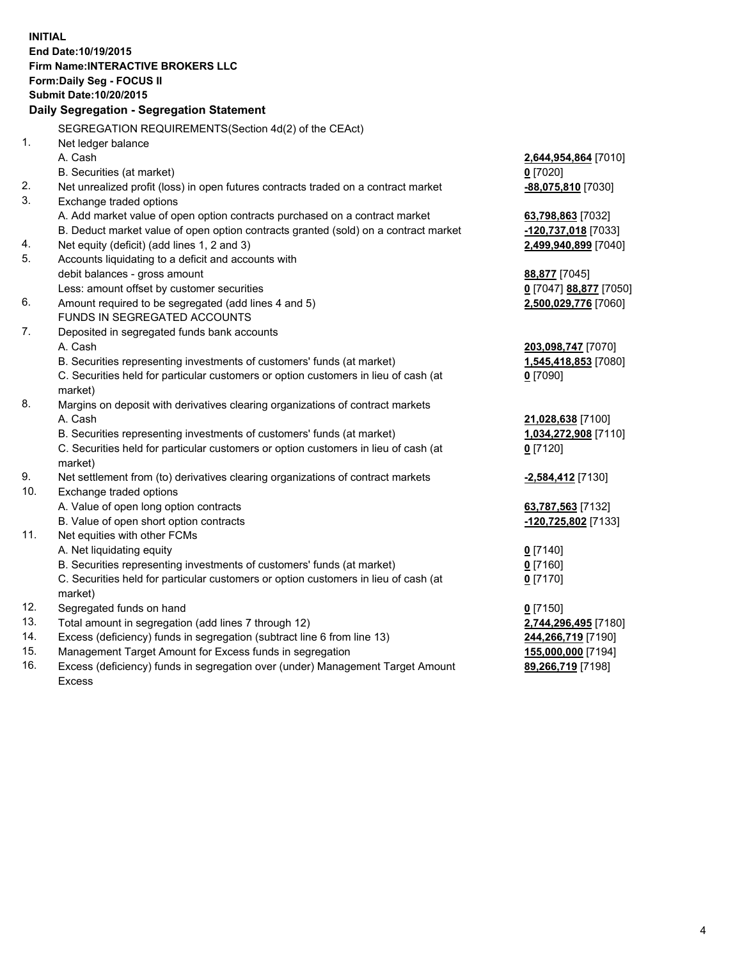**INITIAL End Date:10/19/2015 Firm Name:INTERACTIVE BROKERS LLC Form:Daily Seg - FOCUS II Submit Date:10/20/2015 Daily Segregation - Segregation Statement** SEGREGATION REQUIREMENTS(Section 4d(2) of the CEAct) 1. Net ledger balance A. Cash **2,644,954,864** [7010] B. Securities (at market) **0** [7020] 2. Net unrealized profit (loss) in open futures contracts traded on a contract market **-88,075,810** [7030] 3. Exchange traded options A. Add market value of open option contracts purchased on a contract market **63,798,863** [7032] B. Deduct market value of open option contracts granted (sold) on a contract market **-120,737,018** [7033] 4. Net equity (deficit) (add lines 1, 2 and 3) **2,499,940,899** [7040] 5. Accounts liquidating to a deficit and accounts with debit balances - gross amount **88,877** [7045] Less: amount offset by customer securities **0** [7047] **88,877** [7050] 6. Amount required to be segregated (add lines 4 and 5) **2,500,029,776** [7060] FUNDS IN SEGREGATED ACCOUNTS 7. Deposited in segregated funds bank accounts A. Cash **203,098,747** [7070] B. Securities representing investments of customers' funds (at market) **1,545,418,853** [7080] C. Securities held for particular customers or option customers in lieu of cash (at market) **0** [7090] 8. Margins on deposit with derivatives clearing organizations of contract markets A. Cash **21,028,638** [7100] B. Securities representing investments of customers' funds (at market) **1,034,272,908** [7110] C. Securities held for particular customers or option customers in lieu of cash (at market) **0** [7120] 9. Net settlement from (to) derivatives clearing organizations of contract markets **-2,584,412** [7130] 10. Exchange traded options A. Value of open long option contracts **63,787,563** [7132] B. Value of open short option contracts **-120,725,802** [7133] 11. Net equities with other FCMs A. Net liquidating equity **0** [7140] B. Securities representing investments of customers' funds (at market) **0** [7160] C. Securities held for particular customers or option customers in lieu of cash (at market) **0** [7170] 12. Segregated funds on hand **0** [7150] 13. Total amount in segregation (add lines 7 through 12) **2,744,296,495** [7180] 14. Excess (deficiency) funds in segregation (subtract line 6 from line 13) **244,266,719** [7190] 15. Management Target Amount for Excess funds in segregation **155,000,000** [7194]

16. Excess (deficiency) funds in segregation over (under) Management Target Amount Excess

**89,266,719** [7198]